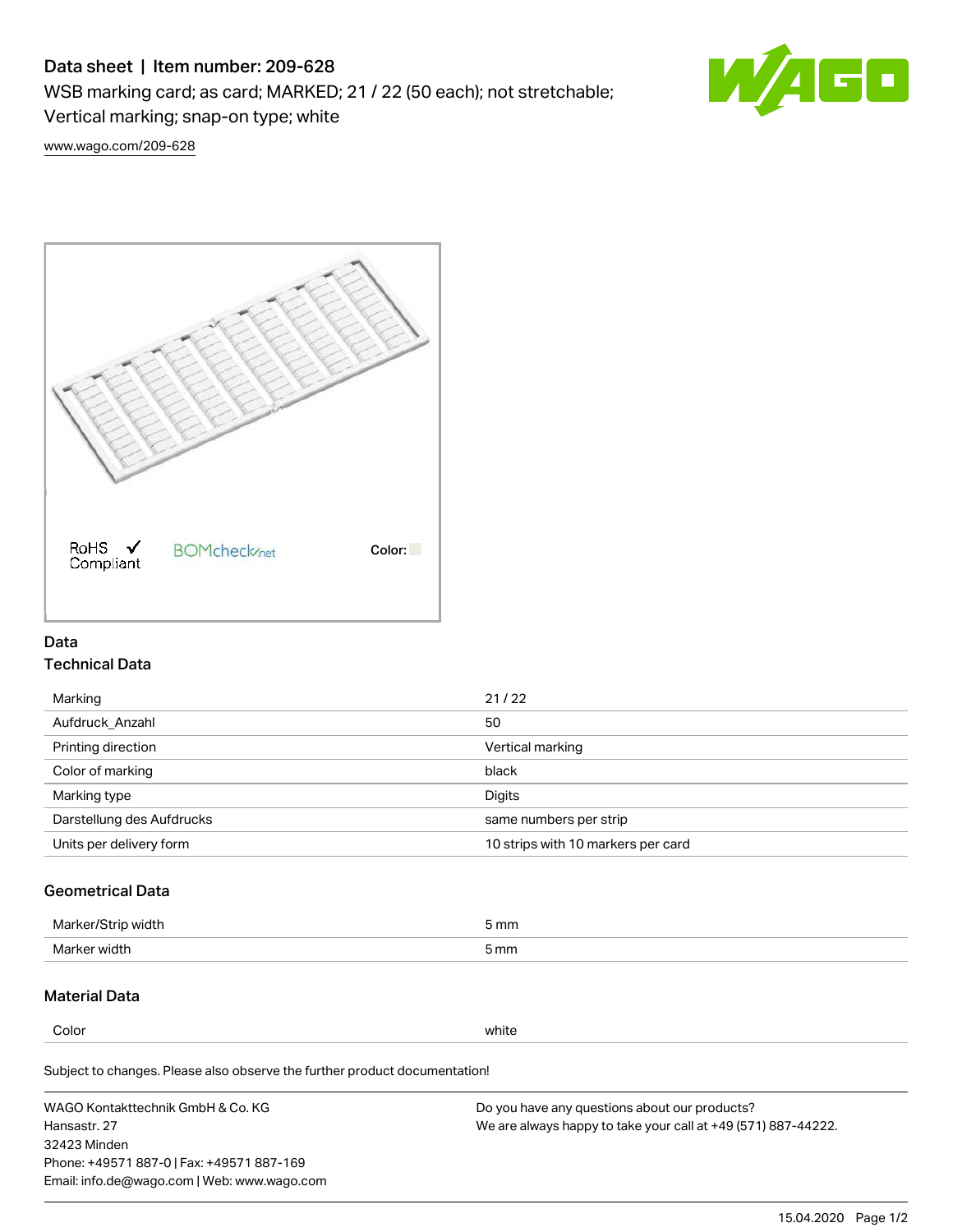# Data sheet | Item number: 209-628

WSB marking card; as card; MARKED; 21 / 22 (50 each); not stretchable;

Vertical marking; snap-on type; white



[www.wago.com/209-628](http://www.wago.com/209-628)



## Data Technical Data

| Marking                   | 21/22                              |
|---------------------------|------------------------------------|
| Aufdruck Anzahl           | 50                                 |
| Printing direction        | Vertical marking                   |
| Color of marking          | black                              |
| Marking type              | Digits                             |
| Darstellung des Aufdrucks | same numbers per strip             |
| Units per delivery form   | 10 strips with 10 markers per card |

# Geometrical Data

| طلقاء ئ<br><b>Marker</b><br>widtr | ັກmm |
|-----------------------------------|------|
| Marker width                      | 5 mm |

## Material Data

Color white

Subject to changes. Please also observe the further product documentation!

WAGO Kontakttechnik GmbH & Co. KG Hansastr. 27 32423 Minden Phone: +49571 887-0 | Fax: +49571 887-169 Email: info.de@wago.com | Web: www.wago.com Do you have any questions about our products? We are always happy to take your call at +49 (571) 887-44222.